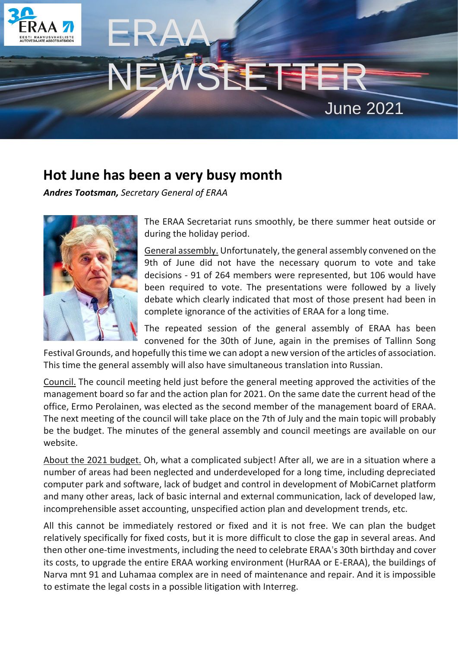

# NEWSLETTER June 2021

# **Hot June has been a very busy month**

ERAA

*Andres Tootsman, Secretary General of ERAA*



The ERAA Secretariat runs smoothly, be there summer heat outside or during the holiday period.

General assembly. Unfortunately, the general assembly convened on the 9th of June did not have the necessary quorum to vote and take decisions - 91 of 264 members were represented, but 106 would have been required to vote. The presentations were followed by a lively debate which clearly indicated that most of those present had been in complete ignorance of the activities of ERAA for a long time.

The repeated session of the general assembly of ERAA has been convened for the 30th of June, again in the premises of Tallinn Song

Festival Grounds, and hopefully this time we can adopt a new version of the articles of association. This time the general assembly will also have simultaneous translation into Russian.

Council. The council meeting held just before the general meeting approved the activities of the management board so far and the action plan for 2021. On the same date the current head of the office, Ermo Perolainen, was elected as the second member of the management board of ERAA. The next meeting of the council will take place on the 7th of July and the main topic will probably be the budget. The minutes of the general assembly and council meetings are available on our website.

About the 2021 budget. Oh, what a complicated subject! After all, we are in a situation where a number of areas had been neglected and underdeveloped for a long time, including depreciated computer park and software, lack of budget and control in development of MobiCarnet platform and many other areas, lack of basic internal and external communication, lack of developed law, incomprehensible asset accounting, unspecified action plan and development trends, etc.

All this cannot be immediately restored or fixed and it is not free. We can plan the budget relatively specifically for fixed costs, but it is more difficult to close the gap in several areas. And then other one-time investments, including the need to celebrate ERAA's 30th birthday and cover its costs, to upgrade the entire ERAA working environment (HurRAA or E-ERAA), the buildings of Narva mnt 91 and Luhamaa complex are in need of maintenance and repair. And it is impossible to estimate the legal costs in a possible litigation with Interreg.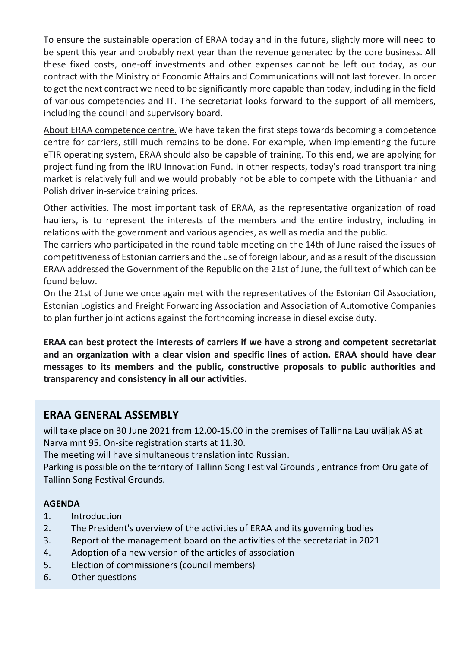To ensure the sustainable operation of ERAA today and in the future, slightly more will need to be spent this year and probably next year than the revenue generated by the core business. All these fixed costs, one-off investments and other expenses cannot be left out today, as our contract with the Ministry of Economic Affairs and Communications will not last forever. In order to get the next contract we need to be significantly more capable than today, including in the field of various competencies and IT. The secretariat looks forward to the support of all members, including the council and supervisory board.

About ERAA competence centre. We have taken the first steps towards becoming a competence centre for carriers, still much remains to be done. For example, when implementing the future eTIR operating system, ERAA should also be capable of training. To this end, we are applying for project funding from the IRU Innovation Fund. In other respects, today's road transport training market is relatively full and we would probably not be able to compete with the Lithuanian and Polish driver in-service training prices.

Other activities. The most important task of ERAA, as the representative organization of road hauliers, is to represent the interests of the members and the entire industry, including in relations with the government and various agencies, as well as media and the public.

The carriers who participated in the round table meeting on the 14th of June raised the issues of competitiveness of Estonian carriers and the use of foreign labour, and as a result of the discussion ERAA addressed the Government of the Republic on the 21st of June, the full text of which can be found below.

On the 21st of June we once again met with the representatives of the Estonian Oil Association, Estonian Logistics and Freight Forwarding Association and Association of Automotive Companies to plan further joint actions against the forthcoming increase in diesel excise duty.

**ERAA can best protect the interests of carriers if we have a strong and competent secretariat and an organization with a clear vision and specific lines of action. ERAA should have clear messages to its members and the public, constructive proposals to public authorities and transparency and consistency in all our activities.**

### **ERAA GENERAL ASSEMBLY**

will take place on 30 June 2021 from 12.00-15.00 in the premises of Tallinna Lauluväljak AS at Narva mnt 95. On-site registration starts at 11.30.

The meeting will have simultaneous translation into Russian.

Parking is possible on the territory of Tallinn Song Festival Grounds , entrance from Oru gate of Tallinn Song Festival Grounds.

#### **AGENDA**

- 1. Introduction
- 2. The President's overview of the activities of ERAA and its governing bodies
- 3. Report of the management board on the activities of the secretariat in 2021
- 4. Adoption of a new version of the articles of association
- 5. Election of commissioners (council members)
- 6. Other questions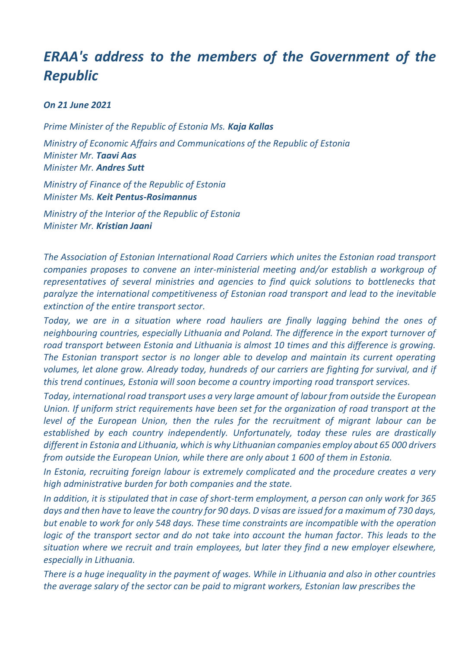# *ERAA's address to the members of the Government of the Republic*

#### *On 21 June 2021*

*Prime Minister of the Republic of Estonia Ms. Kaja Kallas Ministry of Economic Affairs and Communications of the Republic of Estonia Minister Mr. Taavi Aas Minister Mr. Andres Sutt*

*Ministry of Finance of the Republic of Estonia Minister Ms. Keit Pentus-Rosimannus*

*Ministry of the Interior of the Republic of Estonia Minister Mr. Kristian Jaani*

*The Association of Estonian International Road Carriers which unites the Estonian road transport companies proposes to convene an inter-ministerial meeting and/or establish a workgroup of representatives of several ministries and agencies to find quick solutions to bottlenecks that paralyze the international competitiveness of Estonian road transport and lead to the inevitable extinction of the entire transport sector.*

*Today, we are in a situation where road hauliers are finally lagging behind the ones of neighbouring countries, especially Lithuania and Poland. The difference in the export turnover of road transport between Estonia and Lithuania is almost 10 times and this difference is growing. The Estonian transport sector is no longer able to develop and maintain its current operating volumes, let alone grow. Already today, hundreds of our carriers are fighting for survival, and if this trend continues, Estonia will soon become a country importing road transport services.*

*Today, international road transport uses a very large amount of labour from outside the European Union. If uniform strict requirements have been set for the organization of road transport at the level of the European Union, then the rules for the recruitment of migrant labour can be established by each country independently. Unfortunately, today these rules are drastically different in Estonia and Lithuania, which is why Lithuanian companies employ about 65 000 drivers from outside the European Union, while there are only about 1 600 of them in Estonia.*

*In Estonia, recruiting foreign labour is extremely complicated and the procedure creates a very high administrative burden for both companies and the state.*

*In addition, it is stipulated that in case of short-term employment, a person can only work for 365 days and then have to leave the country for 90 days. D visas are issued for a maximum of 730 days, but enable to work for only 548 days. These time constraints are incompatible with the operation logic of the transport sector and do not take into account the human factor. This leads to the situation where we recruit and train employees, but later they find a new employer elsewhere, especially in Lithuania.*

*There is a huge inequality in the payment of wages. While in Lithuania and also in other countries the average salary of the sector can be paid to migrant workers, Estonian law prescribes the*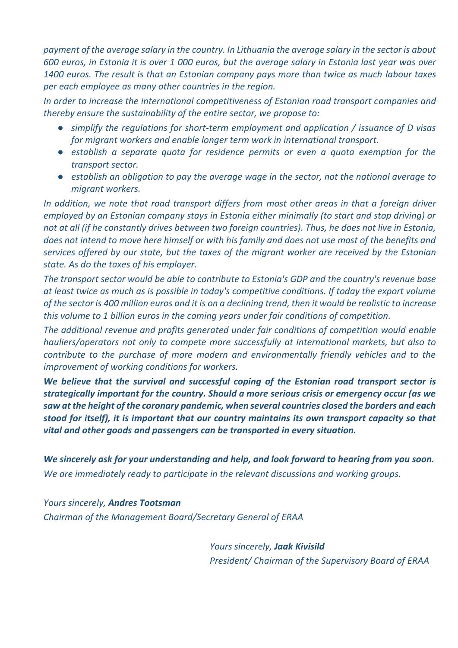*payment of the average salary in the country. In Lithuania the average salary in the sector is about 600 euros, in Estonia it is over 1 000 euros, but the average salary in Estonia last year was over 1400 euros. The result is that an Estonian company pays more than twice as much labour taxes per each employee as many other countries in the region.*

*In order to increase the international competitiveness of Estonian road transport companies and thereby ensure the sustainability of the entire sector, we propose to:*

- *simplify the regulations for short-term employment and application / issuance of D visas for migrant workers and enable longer term work in international transport.*
- *establish a separate quota for residence permits or even a quota exemption for the transport sector.*
- *establish an obligation to pay the average wage in the sector, not the national average to migrant workers.*

*In addition, we note that road transport differs from most other areas in that a foreign driver employed by an Estonian company stays in Estonia either minimally (to start and stop driving) or not at all (if he constantly drives between two foreign countries). Thus, he does not live in Estonia, does not intend to move here himself or with his family and does not use most of the benefits and services offered by our state, but the taxes of the migrant worker are received by the Estonian state. As do the taxes of his employer.*

*The transport sector would be able to contribute to Estonia's GDP and the country's revenue base at least twice as much as is possible in today's competitive conditions. If today the export volume of the sector is 400 million euros and it is on a declining trend, then it would be realistic to increase this volume to 1 billion euros in the coming years under fair conditions of competition.*

*The additional revenue and profits generated under fair conditions of competition would enable hauliers/operators not only to compete more successfully at international markets, but also to contribute to the purchase of more modern and environmentally friendly vehicles and to the improvement of working conditions for workers.*

*We believe that the survival and successful coping of the Estonian road transport sector is strategically important for the country. Should a more serious crisis or emergency occur (as we saw at the height of the coronary pandemic, when several countries closed the borders and each stood for itself), it is important that our country maintains its own transport capacity so that vital and other goods and passengers can be transported in every situation.*

*We sincerely ask for your understanding and help, and look forward to hearing from you soon. We are immediately ready to participate in the relevant discussions and working groups.*

*Yours sincerely, Andres Tootsman Chairman of the Management Board/Secretary General of ERAA*

> *Yours sincerely, Jaak Kivisild President/ Chairman of the Supervisory Board of ERAA*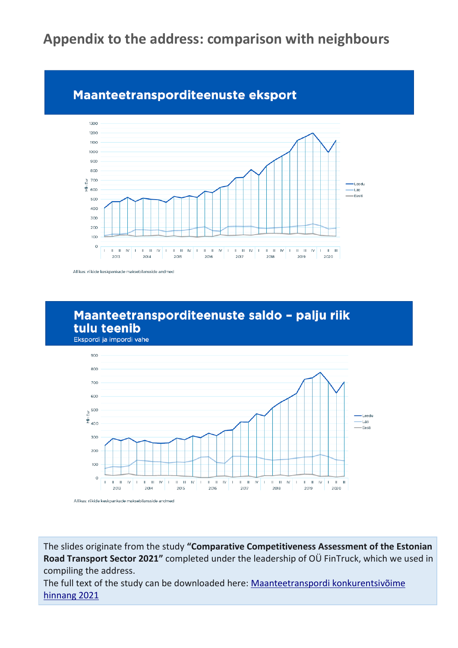# **Appendix to the address: comparison with neighbours**

## Maanteetransporditeenuste eksport



Allikas: riikide keskpankade maksebilansside andmed

## Maanteetransporditeenuste saldo - palju riik tulu teenib





The slides originate from the study **"Comparative Competitiveness Assessment of the Estonian Road Transport Sector 2021"** completed under the leadership of OÜ FinTruck, which we used in compiling the address.

The full text of the study can be downloaded here: [Maanteetranspordi konkurentsivõime](http://www.eraa.ee/doc/Maanteetranspordi_konkurentsivoime_uuring.pdf)  [hinnang 2021](http://www.eraa.ee/doc/Maanteetranspordi_konkurentsivoime_uuring.pdf)